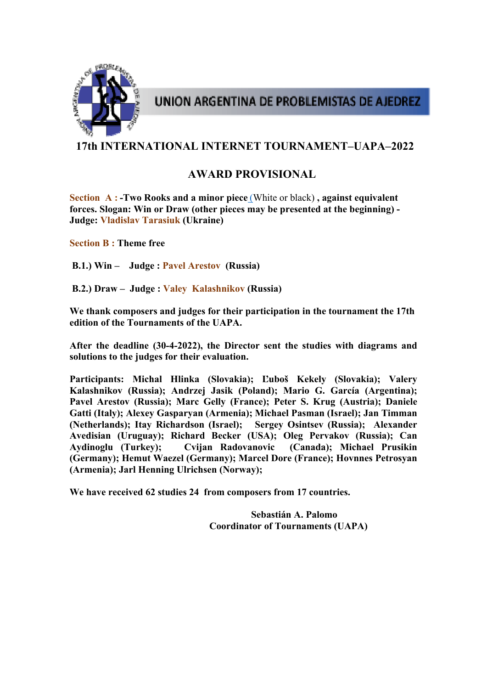

UNION ARGENTINA DE PROBLEMISTAS DE AJEDREZ

# **17th INTERNATIONAL INTERNET TOURNAMENT–UAPA–2022**

# **AWARD PROVISIONAL**

**Section A : -Two Rooks and a minor piece** (White or black) **, against equivalent forces. Slogan: Win or Draw (other pieces may be presented at the beginning) - Judge: Vladislav Tarasiuk (Ukraine)** 

**Section B : Theme free** 

 **B.1.) Win – Judge : Pavel Arestov (Russia)** 

 **B.2.) Draw – Judge : Valey Kalashnikov (Russia)** 

**We thank composers and judges for their participation in the tournament the 17th edition of the Tournaments of the UAPA.** 

**After the deadline (30-4-2022), the Director sent the studies with diagrams and solutions to the judges for their evaluation.** 

**Participants: Michal Hlinka (Slovakia); Ľuboš Kekely (Slovakia); Valery Kalashnikov (Russia); Andrzej Jasik (Poland); Mario G. García (Argentina); Pavel Arestov (Russia); Marc Gelly (France); Peter S. Krug (Austria); Daniele Gatti (Italy); Alexey Gasparyan (Armenia); Michael Pasman (Israel); Jan Timman (Netherlands); Itay Richardson (Israel); Sergey Osintsev (Russia); Alexander Avedisian (Uruguay); Richard Becker (USA); Oleg Pervakov (Russia); Can Aydinoglu (Turkey); Cvijan Radovanovic (Canada); Michael Prusikin (Germany); Hemut Waezel (Germany); Marcel Dore (France); Hovnnes Petrosyan (Armenia); Jarl Henning Ulrichsen (Norway);** 

**We have received 62 studies 24 from composers from 17 countries.** 

 **Sebastián A. Palomo Coordinator of Tournaments (UAPA)**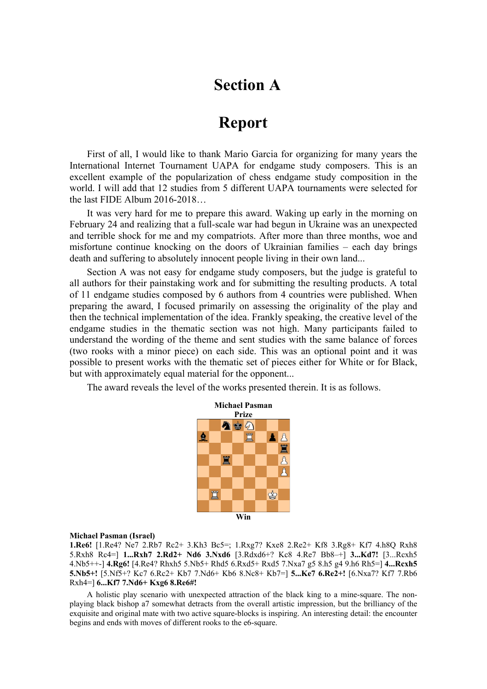# **Section A**

# **Report**

First of all, I would like to thank Mario Garcia for organizing for many years the International Internet Tournament UAPA for endgame study composers. This is an excellent example of the popularization of chess endgame study composition in the world. I will add that 12 studies from 5 different UAPA tournaments were selected for the last FIDE Album 2016-2018…

It was very hard for me to prepare this award. Waking up early in the morning on February 24 and realizing that a full-scale war had begun in Ukraine was an unexpected and terrible shock for me and my compatriots. After more than three months, woe and misfortune continue knocking on the doors of Ukrainian families – each day brings death and suffering to absolutely innocent people living in their own land...

Section A was not easy for endgame study composers, but the judge is grateful to all authors for their painstaking work and for submitting the resulting products. A total of 11 endgame studies composed by 6 authors from 4 countries were published. When preparing the award, I focused primarily on assessing the originality of the play and then the technical implementation of the idea. Frankly speaking, the creative level of the endgame studies in the thematic section was not high. Many participants failed to understand the wording of the theme and sent studies with the same balance of forces (two rooks with a minor piece) on each side. This was an optional point and it was possible to present works with the thematic set of pieces either for White or for Black, but with approximately equal material for the opponent...

The award reveals the level of the works presented therein. It is as follows.



#### **Michael Pasman (Israel)**

**1.Re6!** [1.Re4? Ne7 2.Rb7 Rc2+ 3.Kh3 Bc5=; 1.Rxg7? Kxe8 2.Re2+ Kf8 3.Rg8+ Kf7 4.h8Q Rxh8 5.Rxh8 Rc4=] **1...Rxh7 2.Rd2+ Nd6 3.Nxd6** [3.Rdxd6+? Kc8 4.Re7 Bb8–+] **3...Kd7!** [3...Rcxh5 4.Nb5++-] **4.Rg6!** [4.Re4? Rhxh5 5.Nb5+ Rhd5 6.Rxd5+ Rxd5 7.Nxa7 g5 8.h5 g4 9.h6 Rh5=] **4...Rcxh5 5.Nb5+!** [5.Nf5+? Kc7 6.Rc2+ Kb7 7.Nd6+ Kb6 8.Nc8+ Kb7=] **5...Ke7 6.Re2+!** [6.Nxa7? Kf7 7.Rb6 Rxh4=] **6...Kf7 7.Nd6+ Kxg6 8.Re6#!** 

A holistic play scenario with unexpected attraction of the black king to a mine-square. The nonplaying black bishop a7 somewhat detracts from the overall artistic impression, but the brilliancy of the exquisite and original mate with two active square-blocks is inspiring. An interesting detail: the encounter begins and ends with moves of different rooks to the e6-square.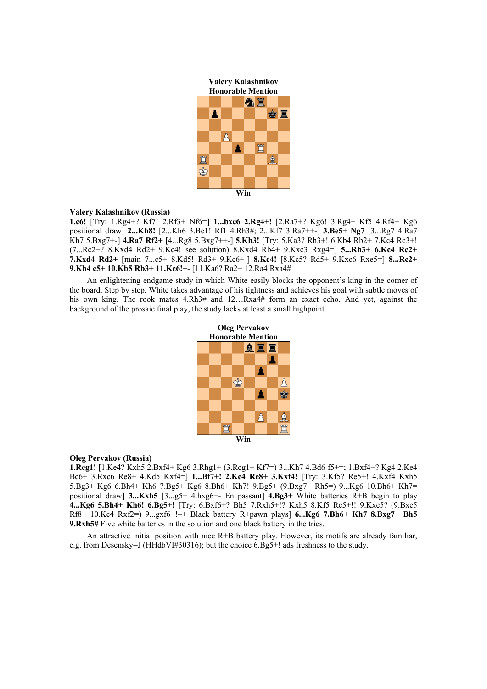**Valery Kalashnikov** 



#### **Valery Kalashnikov (Russia)**

**1.c6!** [Try: 1.Rg4+? Kf7! 2.Rf3+ Nf6=] **1...bxc6 2.Rg4+!** [2.Ra7+? Kg6! 3.Rg4+ Kf5 4.Rf4+ Kg6 positional draw] **2...Kh8!** [2...Kh6 3.Be1! Rf1 4.Rh3#; 2...Kf7 3.Ra7++-] **3.Be5+ Ng7** [3...Rg7 4.Ra7 Kh7 5.Bxg7+-] **4.Ra7 Rf2+** [4...Rg8 5.Bxg7++-] **5.Kb3!** [Try: 5.Ka3? Rh3+! 6.Kb4 Rb2+ 7.Kc4 Rc3+! (7...Rc2+? 8.Kxd4 Rd2+ 9.Kc4! see solution) 8.Kxd4 Rb4+ 9.Kxc3 Rxg4=] **5...Rh3+ 6.Kc4 Rc2+ 7.Kxd4 Rd2+** [main 7...c5+ 8.Kd5! Rd3+ 9.Kc6+-] **8.Kc4!** [8.Kc5? Rd5+ 9.Kxc6 Rxe5=] **8...Rc2+ 9.Kb4 c5+ 10.Kb5 Rb3+ 11.Kc6!+-** [11.Ka6? Ra2+ 12.Ra4 Rxa4#

An enlightening endgame study in which White easily blocks the opponent's king in the corner of the board. Step by step, White takes advantage of his tightness and achieves his goal with subtle moves of his own king. The rook mates 4.Rh3# and 12...Rxa4# form an exact echo. And yet, against the background of the prosaic final play, the study lacks at least a small highpoint.



#### **Oleg Pervakov (Russia)**

**1.Rcg1!** [1.Ke4? Kxh5 2.Bxf4+ Kg6 3.Rhg1+ (3.Rcg1+ Kf7=) 3...Kh7 4.Bd6 f5+=; 1.Bxf4+? Kg4 2.Ke4 Bc6+ 3.Rxc6 Re8+ 4.Kd5 Kxf4=] **1...Bf7+! 2.Ke4 Re8+ 3.Kxf4!** [Try: 3.Kf5? Re5+! 4.Kxf4 Kxh5 5.Bg3+ Kg6 6.Bh4+ Kh6 7.Bg5+ Kg6 8.Bh6+ Kh7! 9.Bg5+ (9.Bxg7+ Rh5=) 9...Kg6 10.Bh6+ Kh7= positional draw] **3...Kxh5** [3...g5+ 4.hxg6+- En passant] **4.Bg3+** White batteries R+B begin to play **4...Kg6 5.Bh4+ Kh6! 6.Bg5+!** [Try: 6.Bxf6+? Bh5 7.Rxh5+!? Kxh5 8.Kf5 Re5+!! 9.Kxe5? (9.Bxe5 Rf8+ 10.Ke4 Rxf2=) 9...gxf6+!–+ Black battery R+pawn plays] **6...Kg6 7.Bh6+ Kh7 8.Bxg7+ Bh5 9.Rxh5#** Five white batteries in the solution and one black battery in the tries.

An attractive initial position with nice R+B battery play. However, its motifs are already familiar, e.g. from Desensky=J (HHdbVI#30316); but the choice 6.Bg5+! ads freshness to the study.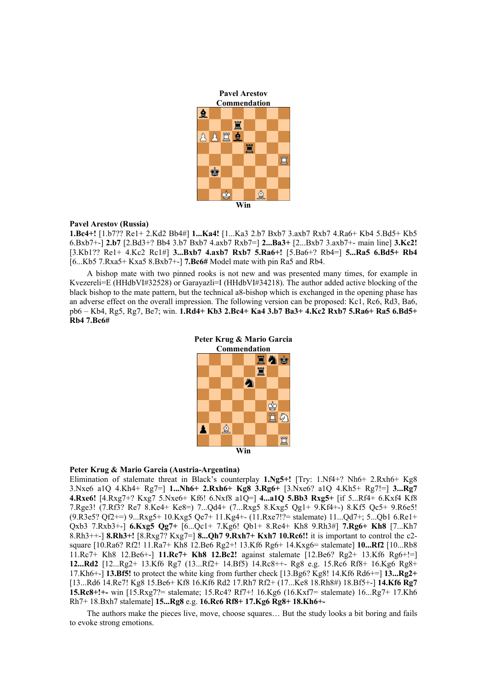

#### **Pavel Arestov (Russia)**

**1.Bc4+!** [1.b7?? Re1+ 2.Kd2 Bb4#] **1...Ka4!** [1...Ka3 2.b7 Bxb7 3.axb7 Rxb7 4.Ra6+ Kb4 5.Bd5+ Kb5 6.Bxb7+-] **2.b7** [2.Bd3+? Bb4 3.b7 Bxb7 4.axb7 Rxb7=] **2...Ba3+** [2...Bxb7 3.axb7+- main line] **3.Kc2!**  [3.Kb1?? Re1+ 4.Kc2 Rc1#] **3...Bxb7 4.axb7 Rxb7 5.Ra6+!** [5.Ba6+? Rb4=] **5...Ra5 6.Bd5+ Rb4**  [6...Kb5 7.Rxa5+ Kxa5 8.Bxb7+-] **7.Bc6#** Model mate with pin Ra5 and Rb4.

A bishop mate with two pinned rooks is not new and was presented many times, for example in Kvezereli=E (HHdbVI#32528) or Garayazli=I (HHdbVI#34218). The author added active blocking of the black bishop to the mate pattern, but the technical a8-bishop which is exchanged in the opening phase has an adverse effect on the overall impression. The following version can be proposed: Kc1, Rc6, Rd3, Ba6, pb6 – Kb4, Rg5, Rg7, Be7; win. **1.Rd4+ Kb3 2.Bc4+ Ka4 3.b7 Ba3+ 4.Kc2 Rxb7 5.Ra6+ Ra5 6.Bd5+ Rb4 7.Bc6#**



#### **Peter Krug & Mario Garcia (Austria-Argentina)**

Elimination of stalemate threat in Black's counterplay **1.Ng5+!** [Try: 1.Nf4+? Nh6+ 2.Rxh6+ Kg8 3.Nxe6 a1Q 4.Kh4+ Rg7=] **1...Nh6+ 2.Rxh6+ Kg8 3.Rg6+** [3.Nxe6? a1Q 4.Kh5+ Rg7!=] **3...Rg7 4.Rxe6!** [4.Rxg7+? Kxg7 5.Nxe6+ Kf6! 6.Nxf8 a1Q=] **4...a1Q 5.Bb3 Rxg5+** [if 5...Rf4+ 6.Kxf4 Kf8 7.Rge3! (7.Rf3? Re7 8.Ke4+ Ke8=) 7...Qd4+ (7...Rxg5 8.Kxg5 Qg1+ 9.Kf4+-) 8.Kf5 Qc5+ 9.R6e5! (9.R3e5? Qf2+=) 9...Rxg5+ 10.Kxg5 Qe7+ 11.Kg4+- (11.Rxe7!?= stalemate) 11...Qd7+; 5...Qb1 6.Re1+ Qxb3 7.Rxb3+-] **6.Kxg5 Qg7+** [6...Qc1+ 7.Kg6! Qb1+ 8.Re4+ Kh8 9.Rh3#] **7.Rg6+ Kh8** [7...Kh7 8.Rh3++-] **8.Rh3+!** [8.Rxg7? Kxg7=] **8...Qh7 9.Rxh7+ Kxh7 10.Rc6!!** it is important to control the c2 square [10.Ra6? Rf2! 11.Ra7+ Kh8 12.Be6 Rg2+! 13.Kf6 Rg6+ 14.Kxg6= stalemate] **10...Rf2** [10...Rb8 11.Rc7+ Kh8 12.Be6+-] **11.Rc7+ Kh8 12.Bc2!** against stalemate [12.Be6? Rg2+ 13.Kf6 Rg6+!=] **12...Rd2** [12...Rg2+ 13.Kf6 Rg7 (13...Rf2+ 14.Bf5) 14.Rc8++- Rg8 e.g. 15.Rc6 Rf8+ 16.Kg6 Rg8+ 17.Kh6+-] **13.Bf5!** to protect the white king from further check [13.Bg6? Kg8! 14.Kf6 Rd6+=] **13...Rg2+**  [13...Rd6 14.Re7! Kg8 15.Be6+ Kf8 16.Kf6 Rd2 17.Rh7 Rf2+ (17...Ke8 18.Rh8#) 18.Bf5+-] **14.Kf6 Rg7 15.Rc8+!+-** win [15.Rxg7?= stalemate; 15.Rc4? Rf7+! 16.Kg6 (16.Kxf7= stalemate) 16...Rg7+ 17.Kh6 Rh7+ 18.Bxh7 stalemate] **15...Rg8** e.g. **16.Rc6 Rf8+ 17.Kg6 Rg8+ 18.Kh6+-** 

The authors make the pieces live, move, choose squares… But the study looks a bit boring and fails to evoke strong emotions.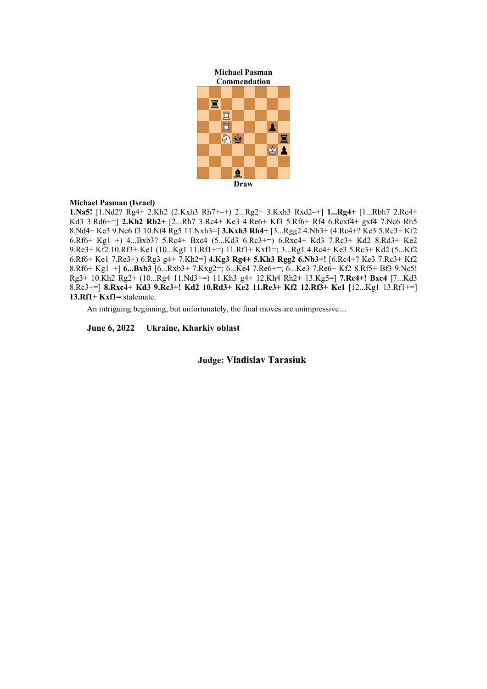**Michael Pasman** 



# **Michael Pasman (Israel)**

**1.Na5!** [1.Nd2? Rg4+ 2.Kh2 (2.Kxh3 Rh7+–+) 2...Rg2+ 3.Kxh3 Rxd2–+] **1...Rg4+** [1...Rbh7 2.Rc4+ Kd3 3.Rd6+=] **2.Kh2 Rb2+** [2...Rh7 3.Rc4+ Ke3 4.Re6+ Kf3 5.Rf6+ Rf4 6.Rcxf4+ gxf4 7.Nc6 Rh5 8.Nd4+ Ke3 9.Ne6 f3 10.Nf4 Rg5 11.Nxh3=] **3.Kxh3 Rh4+** [3...Rgg2 4.Nb3+ (4.Rc4+? Ke3 5.Rc3+ Kf2 6.Rf6+ Kg1–+) 4...Bxb3? 5.Rc4+ Bxc4 (5...Kd3 6.Rc3+=) 6.Rxc4+ Kd3 7.Rc3+ Kd2 8.Rd3+ Ke2 9.Re3+ Kf2 10.Rf3+ Ke1 (10...Kg1 11.Rf1+=) 11.Rf1+ Kxf1=; 3...Rg1 4.Rc4+ Ke3 5.Rc3+ Kd2 (5...Kf2 6.Rf6+ Ke1 7.Re3+) 6.Rg3 g4+ 7.Kh2=] **4.Kg3 Rg4+ 5.Kh3 Rgg2 6.Nb3+!** [6.Rc4+? Ke3 7.Rc3+ Kf2 8.Rf6+ Kg1–+] **6...Bxb3** [6...Rxb3+ 7.Kxg2=; 6...Ke4 7.Re6+=; 6...Ke3 7.Re6+ Kf2 8.Rf5+ Bf3 9.Nc5! Rg3+ 10.Kh2 Rg2+ (10...Rg4 11.Nd3+=) 11.Kh3 g4+ 12.Kh4 Rh2+ 13.Kg5=] **7.Rc4+! Bxc4** [7...Kd3 8.Rc3+=] **8.Rxc4+ Kd3 9.Rc3+! Kd2 10.Rd3+ Ke2 11.Re3+ Kf2 12.Rf3+ Ke1** [12...Kg1 13.Rf1+=] **13.Rf1+ Kxf1=** stalemate.

An intriguing beginning, but unfortunately, the final moves are unimpressive…

**June 6, 2022 Ukraine, Kharkiv oblast** 

**Judge: Vladislav Tarasiuk**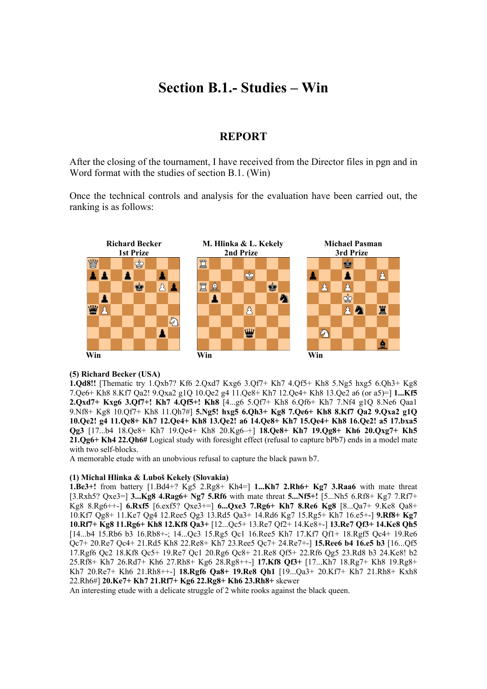# **Section B.1.- Studies – Win**

# **REPORT**

After the closing of the tournament, I have received from the Director files in pgn and in Word format with the studies of section B.1. (Win)

Once the technical controls and analysis for the evaluation have been carried out, the ranking is as follows:



## **(5) Richard Becker (USA)**

**1.Qd8!!** [Thematic try 1.Qxb7? Kf6 2.Qxd7 Kxg6 3.Qf7+ Kh7 4.Qf5+ Kh8 5.Ng5 hxg5 6.Qh3+ Kg8 7.Qe6+ Kh8 8.Kf7 Qa2! 9.Qxa2 g1Q 10.Qe2 g4 11.Qe8+ Kh7 12.Qe4+ Kh8 13.Qe2 a6 (or a5)=] **1...Kf5 2.Qxd7+ Kxg6 3.Qf7+! Kh7 4.Qf5+! Kh8** [4...g6 5.Qf7+ Kh8 6.Qf6+ Kh7 7.Nf4 g1Q 8.Ne6 Qaa1 9.Nf8+ Kg8 10.Qf7+ Kh8 11.Qh7#] **5.Ng5! hxg5 6.Qh3+ Kg8 7.Qe6+ Kh8 8.Kf7 Qa2 9.Qxa2 g1Q 10.Qe2! g4 11.Qe8+ Kh7 12.Qe4+ Kh8 13.Qe2! a6 14.Qe8+ Kh7 15.Qe4+ Kh8 16.Qe2! a5 17.bxa5 Qg3** [17...b4 18.Qe8+ Kh7 19.Qe4+ Kh8 20.Kg6–+] **18.Qe8+ Kh7 19.Qg8+ Kh6 20.Qxg7+ Kh5 21.Qg6+ Kh4 22.Qh6#** Logical study with foresight effect (refusal to capture bPb7) ends in a model mate with two self-blocks.

A memorable etude with an unobvious refusal to capture the black pawn b7.

## **(1) Michal Hlinka & Luboš Kekely (Slovakia)**

**1.Be3+!** from battery [1.Bd4+? Kg5 2.Rg8+ Kh4=] **1...Kh7 2.Rh6+ Kg7 3.Raa6** with mate threat [3.Rxh5? Qxe3=] **3...Kg8 4.Rag6+ Ng7 5.Rf6** with mate threat **5...Nf5+!** [5...Nh5 6.Rf8+ Kg7 7.Rf7+ Kg8 8.Rg6++-] **6.Rxf5** [6.exf5? Qxe3+=] **6...Qxe3 7.Rg6+ Kh7 8.Re6 Kg8** [8...Qa7+ 9.Ke8 Qa8+ 10.Kf7 Qg8+ 11.Ke7 Qg4 12.Ree5 Qg3 13.Rd5 Qa3+ 14.Rd6 Kg7 15.Rg5+ Kh7 16.e5+-] **9.Rf8+ Kg7 10.Rf7+ Kg8 11.Rg6+ Kh8 12.Kf8 Qa3+** [12...Qc5+ 13.Re7 Qf2+ 14.Ke8+-] **13.Re7 Qf3+ 14.Ke8 Qh5**  [14...b4 15.Rb6 b3 16.Rb8+-; 14...Qc3 15.Rg5 Qc1 16.Ree5 Kh7 17.Kf7 Qf1+ 18.Rgf5 Qc4+ 19.Re6 Qc7+ 20.Re7 Qc4+ 21.Rd5 Kh8 22.Re8+ Kh7 23.Ree5 Qc7+ 24.Re7+-] **15.Ree6 b4 16.e5 b3** [16...Qf5 17.Rgf6 Qc2 18.Kf8 Qc5+ 19.Re7 Qc1 20.Rg6 Qc8+ 21.Re8 Qf5+ 22.Rf6 Qg5 23.Rd8 b3 24.Ke8! b2 25.Rf8+ Kh7 26.Rd7+ Kh6 27.Rh8+ Kg6 28.Rg8++-] **17.Kf8 Qf3+** [17...Kh7 18.Rg7+ Kh8 19.Rg8+ Kh7 20.Re7+ Kh6 21.Rh8++-] **18.Rgf6 Qa8+ 19.Re8 Qh1** [19...Qa3+ 20.Kf7+ Kh7 21.Rh8+ Kxh8 22.Rh6#] **20.Ke7+ Kh7 21.Rf7+ Kg6 22.Rg8+ Kh6 23.Rh8+** skewer

An interesting etude with a delicate struggle of 2 white rooks against the black queen.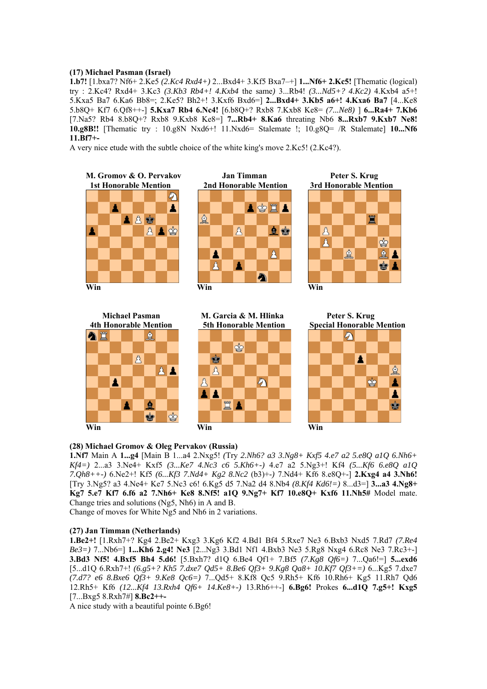## **(17) Michael Pasman (Israel)**

**1.b7!** [1.bxa7? Nf6+ 2.Ke5 *(2.Kc4 Rxd4+)* 2...Bxd4+ 3.Kf5 Bxa7–+] **1...Nf6+ 2.Kc5!** [Thematic (logical) try : 2.Kc4? Rxd4+ 3.Kc3 *(3.Kb3 Rb4+! 4.Kxb4* the same*)* 3...Rb4! *(3...Nd5+? 4.Kc2)* 4.Kxb4 a5+! 5.Kxa5 Ba7 6.Ka6 Bb8=; 2.Ke5? Bh2+! 3.Kxf6 Bxd6=] **2...Bxd4+ 3.Kb5 a6+! 4.Kxa6 Ba7** [4...Ke8 5.b8Q+ Kf7 6.Qf8++-] **5.Kxa7 Rb4 6.Nc4!** [6.b8Q+? Rxb8 7.Kxb8 Ke8= *(7...Ne8)* ] **6...Ra4+ 7.Kb6**  [7.Na5? Rb4 8.b8Q+? Rxb8 9.Kxb8 Ke8=] **7...Rb4+ 8.Ka6** threating Nb6 **8...Rxb7 9.Kxb7 Ne8! 10.g8B!!** [Thematic try : 10.g8N Nxd6+! 11.Nxd6= Stalemate !; 10.g8Q= /R Stalemate] **10...Nf6 11.Bf7+-** 

A very nice etude with the subtle choice of the white king's move 2.Kc5! (2.Kc4?).

 **M. Gromov & O. Pervakov Jan Timman Peter S. Krug 1st Honorable Mention 2nd Honorable Mention 3rd Honorable Mention** の Δ A \$ I A ₫ 人民會 皇宫 △▲含  $\beta$  $\beta$  $\mathbf{A}$ ♔ Å ₫ ≜ Å A ♔ **Win** Win Win Win Win Win 2008  **Michael Pasman M. Garcia & M. Hlinka Peter S. Krug 4th Honorable Mention 5th Honorable Mention Special Honorable Mention** ≜  $\mathscr{G}$  $\dot{\mathbb{P}}$  $\mathcal{B}_{\mathcal{A}}$ Α Ý







Α

# **(28) Michael Gromov & Oleg Pervakov (Russia)**

**1.Nf7** Main A **1...g4** [Main B 1...a4 2.Nxg5! *(*Try *2.Nh6? a3 3.Ng8+ Kxf5 4.e7 a2 5.e8Q a1Q 6.Nh6+ Kf4=)* 2...a3 3.Ne4+ Kxf5 *(3...Ke7 4.Nc3 c6 5.Kh6+-)* 4.e7 a2 5.Ng3+! Kf4 *(5...Kf6 6.e8Q a1Q 7.Qh8++-)* 6.Ne2+! Kf5 *(6...Kf3 7.Nd4+ Kg2 8.Nc2* (b3)+-*)* 7.Nd4+ Kf6 8.e8Q+-] **2.Kxg4 a4 3.Nh6!**  [Try 3.Ng5? a3 4.Ne4+ Ke7 5.Nc3 c6! 6.Kg5 d5 7.Na2 d4 8.Nb4 *(8.Kf4 Kd6!=)* 8...d3=] **3...a3 4.Ng8+ Kg7 5.e7 Kf7 6.f6 a2 7.Nh6+ Ke8 8.Nf5! a1Q 9.Ng7+ Kf7 10.e8Q+ Kxf6 11.Nh5#** Model mate. Change tries and solutions (Ng5, Nh6) in A and B.

Change of moves for White Ng5 and Nh6 in 2 variations.

#### **(27) Jan Timman (Netherlands)**

**1.Be2+!** [1.Rxh7+? Kg4 2.Be2+ Kxg3 3.Kg6 Kf2 4.Bd1 Bf4 5.Rxe7 Ne3 6.Bxb3 Nxd5 7.Rd7 *(7.Re4 Be3=)* 7...Nb6=] **1...Kh6 2.g4! Ne3** [2...Ng3 3.Bd1 Nf1 4.Bxb3 Ne3 5.Rg8 Nxg4 6.Rc8 Ne3 7.Rc3+-] **3.Bd3 Nf5! 4.Bxf5 Bh4 5.d6!** [5.Bxh7? d1Q 6.Be4 Qf1+ 7.Bf5 *(7.Kg8 Qf6=)* 7...Qa6!=] **5...exd6**  [5...d1Q 6.Rxh7+! *(6.g5+? Kh5 7.dxe7 Qd5+ 8.Be6 Qf3+ 9.Kg8 Qa8+ 10.Kf7 Qf3+=)* 6...Kg5 7.dxe7 *(7.d7? e6 8.Bxe6 Qf3+ 9.Ke8 Qc6=)* 7...Qd5+ 8.Kf8 Qc5 9.Rh5+ Kf6 10.Rh6+ Kg5 11.Rh7 Qd6 12.Rh5+ Kf6 *(12...Kf4 13.Rxh4 Qf6+ 14.Ke8+-)* 13.Rh6++-] **6.Bg6!** Prokes **6...d1Q 7.g5+! Kxg5**  [7...Bxg5 8.Rxh7#] **8.Bc2++-** 

A nice study with a beautiful pointe 6.Bg6!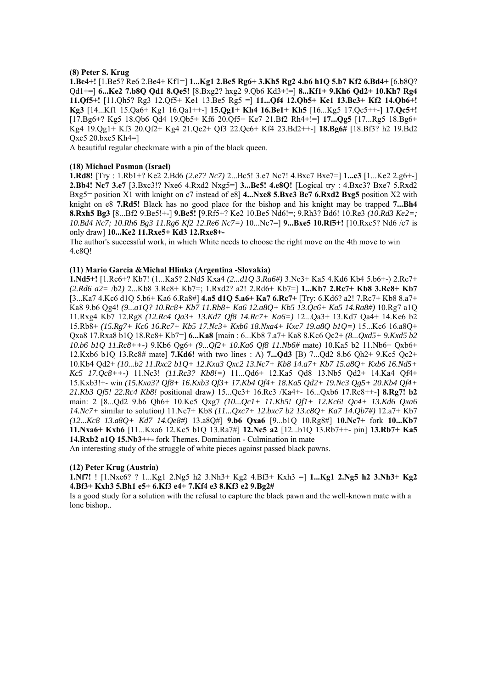## **(8) Peter S. Krug**

**1.Be4+!** [1.Be5? Re6 2.Be4+ Kf1=] **1...Kg1 2.Be5 Rg6+ 3.Kh5 Rg2 4.b6 h1Q 5.b7 Kf2 6.Bd4+** [6.b8Q? Qd1+=] **6...Ke2 7.b8Q Qd1 8.Qe5!** [8.Bxg2? hxg2 9.Qb6 Kd3+!=] **8...Kf1+ 9.Kh6 Qd2+ 10.Kh7 Rg4 11.Qf5+!** [11.Qh5? Rg3 12.Qf5+ Ke1 13.Be5 Rg5 =] **11...Qf4 12.Qb5+ Ke1 13.Bc3+ Kf2 14.Qb6+! Kg3** [14...Kf1 15.Qa6+ Kg1 16.Qa1++-] **15.Qg1+ Kh4 16.Be1+ Kh5** [16...Kg5 17.Qc5++-] **17.Qc5+!**  [17.Bg6+? Kg5 18.Qb6 Qd4 19.Qb5+ Kf6 20.Qf5+ Ke7 21.Bf2 Rh4+!=] **17...Qg5** [17...Rg5 18.Bg6+ Kg4 19.Qg1+ Kf3 20.Qf2+ Kg4 21.Qe2+ Qf3 22.Qe6+ Kf4 23.Bd2++-] **18.Bg6#** [18.Bf3? h2 19.Bd2 Qxc5 20.bxc5 Kh4=]

A beautiful regular checkmate with a pin of the black queen.

### **(18) Michael Pasman (Israel)**

**1.Rd8!** [Try : 1.Rb1+? Ke2 2.Bd6 *(2.e7? Nc7)* 2...Bc5! 3.e7 Nc7! 4.Bxc7 Bxe7=] **1...c3** [1...Ke2 2.g6+-] **2.Bb4! Nc7 3.e7** [3.Bxc3!? Nxe6 4.Rxd2 Nxg5=] **3...Bc5! 4.e8Q!** [Logical try : 4.Bxc3? Bxe7 5.Rxd2 Bxg5= position X1 with knight on c7 instead of e8] **4...Nxe8 5.Bxc3 Be7 6.Rxd2 Bxg5** position X2 with knight on e8 **7.Rd5!** Black has no good place for the bishop and his knight may be trapped **7...Bh4 8.Rxh5 Bg3** [8...Bf2 9.Be5!+-] **9.Be5!** [9.Rf5+? Ke2 10.Be5 Nd6!=; 9.Rh3? Bd6! 10.Re3 *(10.Rd3 Ke2=; 10.Bd4 Nc7; 10.Rh6 Bg3 11.Rg6 Kf2 12.Re6 Nc7=)* 10...Nc7=] **9...Bxe5 10.Rf5+!** [10.Rxe5? Nd6 /c7 is only draw] **10...Ke2 11.Rxe5+ Kd3 12.Rxe8+-** 

The author's successful work, in which White needs to choose the right move on the 4th move to win 4.e8Q!

### **(11) Mario Garcia &Michal Hlinka (Argentina -Slovakia)**

**1.Nd5+!** [1.Rc6+? Kb7! (1...Ka5? 2.Nd5 Kxa4 *(2...d1Q 3.Ra6#)* 3.Nc3+ Ka5 4.Kd6 Kb4 5.b6+-) 2.Rc7+ *(2.Rd6 a2=* /b2*)* 2...Kb8 3.Rc8+ Kb7=; 1.Rxd2? a2! 2.Rd6+ Kb7=] **1...Kb7 2.Rc7+ Kb8 3.Rc8+ Kb7**  [3...Ka7 4.Kc6 d1Q 5.b6+ Ka6 6.Ra8#] **4.a5 d1Q 5.a6+ Ka7 6.Rc7+** [Try: 6.Kd6? a2! 7.Rc7+ Kb8 8.a7+ Ka8 9.b6 Qg4! *(9...a1Q? 10.Rc8+ Kb7 11.Rb8+ Ka6 12.a8Q+ Kb5 13.Qc6+ Ka5 14.Ra8#)* 10.Rg7 a1Q 11.Rxg4 Kb7 12.Rg8 *(12.Rc4 Qa3+ 13.Kd7 Qf8 14.Rc7+ Ka6=)* 12...Qa3+ 13.Kd7 Qa4+ 14.Ke6 b2 15.Rb8+ *(15.Rg7+ Kc6 16.Rc7+ Kb5 17.Nc3+ Kxb6 18.Nxa4+ Kxc7 19.a8Q b1Q=)* 15...Kc6 16.a8Q+ Qxa8 17.Rxa8 b1Q 18.Rc8+ Kb7=] **6...Ka8** [main : 6...Kb8 7.a7+ Ka8 8.Kc6 Qc2+ *(8...Qxd5+ 9.Kxd5 b2 10.b6 b1Q 11.Rc8++-)* 9.Kb6 Qg6+ *(9...Qf2+ 10.Ka6 Qf8 11.Nb6#* mate*)* 10.Ka5 b2 11.Nb6+ Qxb6+ 12.Kxb6 b1Q 13.Rc8# mate] **7.Kd6!** with two lines : A) **7...Qd3** [B) 7...Qd2 8.b6 Qh2+ 9.Kc5 Qc2+ 10.Kb4 Qd2+ *(10...b2 11.Rxc2 b1Q+ 12.Kxa3 Qxc2 13.Nc7+ Kb8 14.a7+ Kb7 15.a8Q+ Kxb6 16.Nd5+ Kc5 17.Qc8++-)* 11.Nc3! *(11.Rc3? Kb8!=)* 11...Qd6+ 12.Ka5 Qd8 13.Nb5 Qd2+ 14.Ka4 Qf4+ 15.Kxb3!+- win *(15.Kxa3? Qf8+ 16.Kxb3 Qf3+ 17.Kb4 Qf4+ 18.Ka5 Qd2+ 19.Nc3 Qg5+ 20.Kb4 Qf4+ 21.Kb3 Qf5! 22.Rc4 Kb8!* positional draw*)* 15...Qe3+ 16.Rc3 /Ka4+- 16...Qxb6 17.Rc8++-] **8.Rg7! b2**  main: 2 [8...Qd2 9.b6 Qh6+ 10.Kc5 Qxg7 *(10...Qc1+ 11.Kb5! Qf1+ 12.Kc6! Qc4+ 13.Kd6 Qxa6 14.Nc7+* similar to solution*)* 11.Nc7+ Kb8 *(11...Qxc7+ 12.bxc7 b2 13.c8Q+ Ka7 14.Qb7#)* 12.a7+ Kb7 *(12...Kc8 13.a8Q+ Kd7 14.Qe8#)* 13.a8Q#] **9.b6 Qxa6** [9...b1Q 10.Rg8#] **10.Nc7+** fork **10...Kb7 11.Nxa6+ Kxb6** [11...Kxa6 12.Kc5 b1Q 13.Ra7#] **12.Nc5 a2** [12...b1Q 13.Rb7++- pin] **13.Rb7+ Ka5 14.Rxb2 a1Q 15.Nb3++-** fork Themes. Domination - Culmination in mate

An interesting study of the struggle of white pieces against passed black pawns.

#### **(12) Peter Krug (Austria)**

**1.Nf7!** ! [1.Nxe6? ? 1...Kg1 2.Ng5 h2 3.Nh3+ Kg2 4.Bf3+ Kxh3 =] **1...Kg1 2.Ng5 h2 3.Nh3+ Kg2 4.Bf3+ Kxh3 5.Bh1 e5+ 6.Kf3 e4+ 7.Kf4 e3 8.Kf3 e2 9.Bg2#** 

Is a good study for a solution with the refusal to capture the black pawn and the well-known mate with a lone bishop..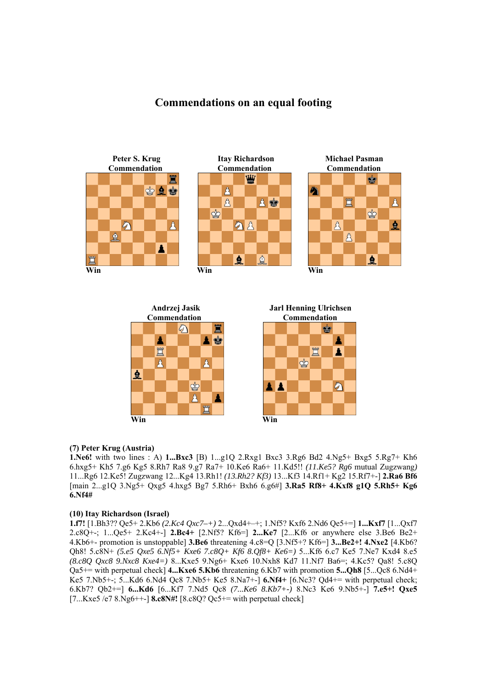# **Commendations on an equal footing**







# **(7) Peter Krug (Austria)**

**1.Ne6!** with two lines : A) **1...Bxc3** [B) 1...g1Q 2.Rxg1 Bxc3 3.Rg6 Bd2 4.Ng5+ Bxg5 5.Rg7+ Kh6 6.hxg5+ Kh5 7.g6 Kg5 8.Rh7 Ra8 9.g7 Ra7+ 10.Ke6 Ra6+ 11.Kd5!! *(11.Ke5? Rg6* mutual Zugzwang*)*  11...Rg6 12.Ke5! Zugzwang 12...Kg4 13.Rh1! *(13.Rh2? Kf3)* 13...Kf3 14.Rf1+ Kg2 15.Rf7+-] **2.Ra6 Bf6**  [main 2...g1Q 3.Ng5+ Qxg5 4.hxg5 Bg7 5.Rh6+ Bxh6 6.g6#] **3.Ra5 Rf8+ 4.Kxf8 g1Q 5.Rh5+ Kg6 6.Nf4#** 

## **(10) Itay Richardson (Israel)**

**1.f7!** [1.Bh3?? Qe5+ 2.Kb6 *(2.Kc4 Qxc7–+)* 2...Qxd4+–+; 1.Nf5? Kxf6 2.Nd6 Qe5+=] **1...Kxf7** [1...Qxf7 2.c8Q+-; 1...Qe5+ 2.Kc4+-] **2.Bc4+** [2.Nf5? Kf6=] **2...Ke7** [2...Kf6 or anywhere else 3.Be6 Be2+ 4.Kb6+- promotion is unstoppable] **3.Be6** threatening 4.c8=Q [3.Nf5+? Kf6=] **3...Be2+! 4.Nxe2** [4.Kb6? Qh8! 5.c8N+ *(5.e5 Qxe5 6.Nf5+ Kxe6 7.c8Q+ Kf6 8.Qf8+ Ke6=)* 5...Kf6 6.c7 Ke5 7.Ne7 Kxd4 8.e5 *(8.c8Q Qxc8 9.Nxc8 Kxe4=)* 8...Kxe5 9.Ng6+ Kxe6 10.Nxh8 Kd7 11.Nf7 Ba6=; 4.Kc5? Qa8! 5.c8Q Qa5+= with perpetual check] **4...Kxe6 5.Kb6** threatening 6.Kb7 with promotion **5...Qh8** [5...Qc8 6.Nd4+ Ke5 7.Nb5+-; 5...Kd6 6.Nd4 Qc8 7.Nb5+ Ke5 8.Na7+-] **6.Nf4+** [6.Nc3? Qd4+= with perpetual check; 6.Kb7? Qb2+=] **6...Kd6** [6...Kf7 7.Nd5 Qc8 *(7...Ke6 8.Kb7+-)* 8.Nc3 Ke6 9.Nb5+-] **7.e5+! Qxe5**  [7...Kxe5 /e7 8.Ng6++-] **8.c8N#!** [8.c8Q? Qc5+= with perpetual check]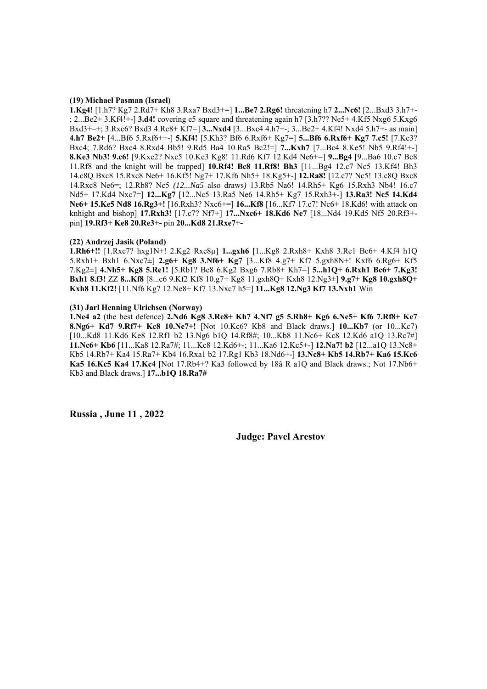#### **(19) Michael Pasman (Israel)**

**1.Kg4!** [1.h7? Kg7 2.Rd7+ Kh8 3.Rxa7 Bxd3+=] **1...Be7 2.Rg6!** threatening h7 **2...Nc6!** [2...Bxd3 3.h7+- ; 2...Be2+ 3.Kf4!+-] **3.d4!** covering e5 square and threatening again h7 [3.h7?? Ne5+ 4.Kf5 Nxg6 5.Kxg6 Bxd3+–+; 3.Rxc6? Bxd3 4.Rc8+ Kf7=] **3...Nxd4** [3...Bxc4 4.h7+-; 3...Be2+ 4.Kf4! Nxd4 5.h7+- as main] **4.h7 Be2+** [4...Bf6 5.Rxf6++-] **5.Kf4!** [5.Kh3? Bf6 6.Rxf6+ Kg7=] **5...Bf6 6.Rxf6+ Kg7 7.c5!** [7.Ke3? Bxc4; 7.Rd6? Bxc4 8.Rxd4 Bb5! 9.Rd5 Ba4 10.Ra5 Bc2!=] **7...Kxh7** [7...Bc4 8.Ke5! Nb5 9.Rf4!+-] **8.Ke3 Nb3! 9.c6!** [9.Kxe2? Nxc5 10.Ke3 Kg8! 11.Rd6 Kf7 12.Kd4 Ne6+=] **9...Bg4** [9...Ba6 10.c7 Bc8 11.Rf8 and the knight will be trapped] **10.Rf4! Bc8 11.Rf8! Bh3** [11...Bg4 12.c7 Nc5 13.Kf4! Bh3 14.c8Q Bxc8 15.Rxc8 Ne6+ 16.Kf5! Ng7+ 17.Kf6 Nh5+ 18.Kg5+-] **12.Ra8!** [12.c7? Nc5! 13.c8Q Bxc8 14.Rxc8 Ne6=; 12.Rb8? Nc5 *(12...Na5* also draws*)* 13.Rb5 Na6! 14.Rh5+ Kg6 15.Rxh3 Nb4! 16.c7 Nd5+ 17.Kd4 Nxc7=] **12...Kg7** [12...Nc5 13.Ra5 Ne6 14.Rh5+ Kg7 15.Rxh3+-] **13.Ra3! Nc5 14.Kd4 Ne6+ 15.Ke5 Nd8 16.Rg3+!** [16.Rxh3? Nxc6+=] **16...Kf8** [16...Kf7 17.c7! Nc6+ 18.Kd6! with attack on knhight and bishop] **17.Rxh3!** [17.c7? Nf7+] **17...Nxc6+ 18.Kd6 Ne7** [18...Nd4 19.Kd5 Nf5 20.Rf3+ pin] **19.Rf3+ Ke8 20.Re3+-** pin **20...Kd8 21.Rxe7+-** 

#### **(22) Andrzej Jasik (Poland)**

**1.Rh6+!!** [1.Rxc7? hxg1N+! 2.Kg2 Rxe8µ] **1...gxh6** [1...Kg8 2.Rxh8+ Kxh8 3.Re1 Bc6+ 4.Kf4 h1Q 5.Rxh1+ Bxh1 6.Nxc7±] **2.g6+ Kg8 3.Nf6+ Kg7** [3...Kf8 4.g7+ Kf7 5.gxh8N+! Kxf6 6.Rg6+ Kf5 7.Kg2±] **4.Nh5+ Kg8 5.Re1!** [5.Rb1? Be8 6.Kg2 Bxg6 7.Rb8+ Kh7=] **5...h1Q+ 6.Rxh1 Bc6+ 7.Kg3! Bxh1 8.f3!** ZZ **8...Kf8** [8...c6 9.Kf2 Kf8 10.g7+ Kg8 11.gxh8Q+ Kxh8 12.Ng3±] **9.g7+ Kg8 10.gxh8Q+ Kxh8 11.Kf2!** [11.Nf6 Kg7 12.Ne8+ Kf7 13.Nxc7 h5=] **11...Kg8 12.Ng3 Kf7 13.Nxh1** Win

#### **(31) Jarl Henning Ulrichsen (Norway)**

**1.Ne4 a2** (the best defence) **2.Nd6 Kg8 3.Re8+ Kh7 4.Nf7 g5 5.Rh8+ Kg6 6.Ne5+ Kf6 7.Rf8+ Ke7 8.Ng6+ Kd7 9.Rf7+ Kc8 10.Ne7+!** [Not 10.Kc6? Kb8 and Black draws.] **10...Kb7** (or 10...Kc7) [10...Kd8 11.Kd6 Ke8 12.Rf1 b2 13.Ng6 b1Q 14.Rf8#; 10...Kb8 11.Nc6+ Kc8 12.Kd6 a1Q 13.Rc7#] **11.Nc6+ Kb6** [11...Ka8 12.Ra7#; 11...Kc8 12.Kd6+-; 11...Ka6 12.Kc5+-] **12.Na7! b2** [12...a1Q 13.Nc8+ Kb5 14.Rb7+ Ka4 15.Ra7+ Kb4 16.Rxa1 b2 17.Rg1 Kb3 18.Nd6+-] **13.Nc8+ Kb5 14.Rb7+ Ka6 15.Kc6 Ka5 16.Kc5 Ka4 17.Kc4** [Not 17.Rb4+? Ka3 followed by 18â R a1Q and Black draws.; Not 17.Nb6+ Kb3 and Black draws.] **17...b1Q 18.Ra7#** 

**Russia , June 11 , 2022** 

 **Judge: Pavel Arestov**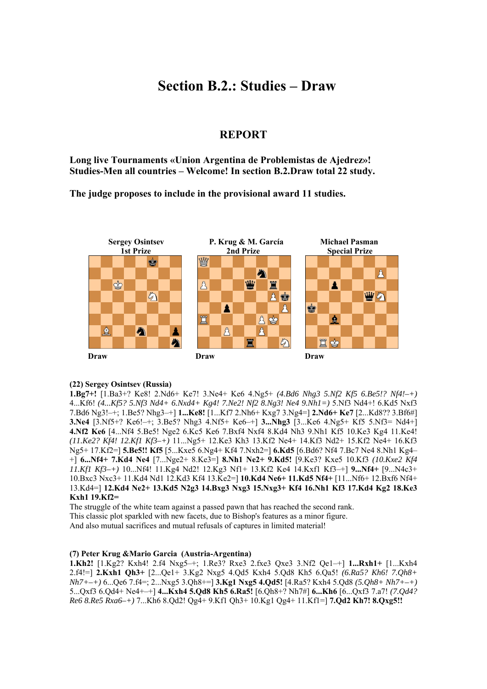# **Section B.2.: Studies – Draw**

# **REPORT**

**Long live Tournaments «Union Argentina de Problemistas de Ajedrez»! Studies-Men all countries – Welcome! In section B.2.Draw total 22 study.** 

**The judge proposes to include in the provisional award 11 studies.** 



## **(22) Sergey Osintsev (Russia)**

**1.Bg7+!** [1.Ba3+? Ke8! 2.Nd6+ Ke7! 3.Ne4+ Ke6 4.Ng5+ *(4.Bd6 Nhg3 5.Nf2 Kf5 6.Be5!? Nf4!–+)*  4...Kf6! *(4...Kf5? 5.Nf3 Nd4+ 6.Nxd4+ Kg4! 7.Ne2! Nf2 8.Ng3! Ne4 9.Nh1=)* 5.Nf3 Nd4+! 6.Kd5 Nxf3 7.Bd6 Ng3!–+; 1.Be5? Nhg3–+] **1...Ke8!** [1...Kf7 2.Nh6+ Kxg7 3.Ng4=] **2.Nd6+ Ke7** [2...Kd8?? 3.Bf6#] **3.Ne4** [3.Nf5+? Ke6!–+; 3.Be5? Nhg3 4.Nf5+ Ke6–+] **3...Nhg3** [3...Ke6 4.Ng5+ Kf5 5.Nf3= Nd4+] **4.Nf2 Ke6** [4...Nf4 5.Be5! Nge2 6.Kc5 Ke6 7.Bxf4 Nxf4 8.Kd4 Nh3 9.Nh1 Kf5 10.Ke3 Kg4 11.Ke4! *(11.Ke2? Kf4! 12.Kf1 Kf3–+)* 11...Ng5+ 12.Ke3 Kh3 13.Kf2 Ne4+ 14.Kf3 Nd2+ 15.Kf2 Ne4+ 16.Kf3 Ng5+ 17.Kf2=] **5.Be5!! Kf5** [5...Kxe5 6.Ng4+ Kf4 7.Nxh2=] **6.Kd5** [6.Bd6? Nf4 7.Bc7 Ne4 8.Nh1 Kg4– +] **6...Nf4+ 7.Kd4 Ne4** [7...Nge2+ 8.Ke3=] **8.Nh1 Ne2+ 9.Kd5!** [9.Ke3? Kxe5 10.Kf3 *(10.Kxe2 Kf4 11.Kf1 Kf3–+)* 10...Nf4! 11.Kg4 Nd2! 12.Kg3 Nf1+ 13.Kf2 Ke4 14.Kxf1 Kf3–+] **9...Nf4+** [9...N4c3+ 10.Bxc3 Nxc3+ 11.Kd4 Nd1 12.Kd3 Kf4 13.Ke2=] **10.Kd4 Ne6+ 11.Kd5 Nf4+** [11...Nf6+ 12.Bxf6 Nf4+ 13.Kd4=] **12.Kd4 Ne2+ 13.Kd5 N2g3 14.Bxg3 Nxg3 15.Nxg3+ Kf4 16.Nh1 Kf3 17.Kd4 Kg2 18.Ke3 Kxh1 19.Kf2=** 

The struggle of the white team against a passed pawn that has reached the second rank.

This classic plot sparkled with new facets, due to Bishop's features as a minor figure.

And also mutual sacrifices and mutual refusals of captures in limited material!

## **(7) Peter Krug &Mario Garcia (Austria-Argentina)**

**1.Kh2!** [1.Kg2? Kxh4! 2.f4 Nxg5–+; 1.Re3? Rxe3 2.fxe3 Qxe3 3.Nf2 Qe1–+] **1...Rxh1+** [1...Kxh4 2.f4!=] **2.Kxh1 Qh3+** [2...Qe1+ 3.Kg2 Nxg5 4.Qd5 Kxh4 5.Qd8 Kh5 6.Qa5! *(6.Ra5? Kh6! 7.Qh8+ Nh7+–+)* 6...Qe6 7.f4=; 2...Nxg5 3.Qh8+=] **3.Kg1 Nxg5 4.Qd5!** [4.Ra5? Kxh4 5.Qd8 *(5.Qh8+ Nh7+–+)*  5...Qxf3 6.Qd4+ Ne4+–+] **4...Kxh4 5.Qd8 Kh5 6.Ra5!** [6.Qh8+? Nh7#] **6...Kh6** [6...Qxf3 7.a7! *(7.Qd4? Re6 8.Re5 Rxa6–+)* 7...Kh6 8.Qd2! Qg4+ 9.Kf1 Qh3+ 10.Kg1 Qg4+ 11.Kf1=] **7.Qd2 Kh7! 8.Qxg5!!**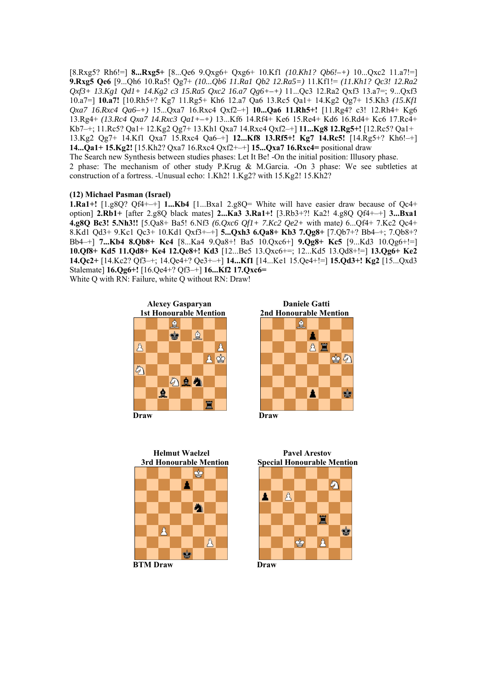[8.Rxg5? Rh6!=] **8...Rxg5+** [8...Qe6 9.Qxg6+ Qxg6+ 10.Kf1 *(10.Kh1? Qb6!–+)* 10...Qxc2 11.a7!=] **9.Rxg5 Qe6** [9...Qh6 10.Ra5! Qg7+ *(10...Qb6 11.Ra1 Qb2 12.Ra5=)* 11.Kf1!= *(11.Kh1? Qc3! 12.Ra2 Qxf3+ 13.Kg1 Qd1+ 14.Kg2 c3 15.Ra5 Qxc2 16.a7 Qg6+–+)* 11...Qc3 12.Ra2 Qxf3 13.a7=; 9...Qxf3 10.a7=] **10.a7!** [10.Rh5+? Kg7 11.Rg5+ Kh6 12.a7 Qa6 13.Rc5 Qa1+ 14.Kg2 Qg7+ 15.Kh3 *(15.Kf1 Qxa7 16.Rxc4 Qa6–+)* 15...Qxa7 16.Rxc4 Qxf2–+] **10...Qa6 11.Rh5+!** [11.Rg4? c3! 12.Rh4+ Kg6 13.Rg4+ *(13.Rc4 Qxa7 14.Rxc3 Qa1+–+)* 13...Kf6 14.Rf4+ Ke6 15.Re4+ Kd6 16.Rd4+ Kc6 17.Rc4+ Kb7–+; 11.Rc5? Qa1+ 12.Kg2 Qg7+ 13.Kh1 Qxa7 14.Rxc4 Qxf2–+] **11...Kg8 12.Rg5+!** [12.Rc5? Qa1+ 13.Kg2 Qg7+ 14.Kf1 Qxa7 15.Rxc4 Qa6–+] **12...Kf8 13.Rf5+! Kg7 14.Rc5!** [14.Rg5+? Kh6!–+] **14...Qa1+ 15.Kg2!** [15.Kh2? Qxa7 16.Rxc4 Qxf2+–+] **15...Qxa7 16.Rxc4=** positional draw The Search new Synthesis between studies phases: Let It Be! -On the initial position: Illusory phase.

2 phase: The mechanism of other study P.Krug & M.Garcia. -On 3 phase: We see subtleties at construction of a fortress. -Unusual echo: 1.Kh2! 1.Kg2? with 15.Kg2! 15.Kh2?

### **(12) Michael Pasman (Israel)**

**1.Ra1+!** [1.g8Q? Qf4+–+] **1...Kb4** [1...Bxa1 2.g8Q= White will have easier draw because of Qc4+ option] **2.Rb1+** [after 2.g8Q black mates] **2...Ka3 3.Ra1+!** [3.Rb3+?! Ka2! 4.g8Q Qf4+–+] **3...Bxa1 4.g8Q Bc3! 5.Nh3!!** [5.Qa8+ Ba5! 6.Nf3 *(6.Qxc6 Qf1+ 7.Kc2 Qe2+* with mate*)* 6...Qf4+ 7.Kc2 Qc4+ 8.Kd1 Qd3+ 9.Kc1 Qc3+ 10.Kd1 Qxf3+–+] **5...Qxh3 6.Qa8+ Kb3 7.Qg8+** [7.Qb7+? Bb4–+; 7.Qb8+? Bb4–+] **7...Kb4 8.Qb8+ Kc4** [8...Ka4 9.Qa8+! Ba5 10.Qxc6+] **9.Qg8+ Kc5** [9...Kd3 10.Qg6+!=] **10.Qf8+ Kd5 11.Qd8+ Ke4 12.Qe8+! Kd3** [12...Be5 13.Qxc6+=; 12...Kd5 13.Qd8+!=] **13.Qg6+ Ke2 14.Qc2+** [14.Kc2? Qf3–+; 14.Qe4+? Qe3+–+] **14...Kf1** [14...Ke1 15.Qe4+!=] **15.Qd3+! Kg2** [15...Qxd3 Stalemate] **16.Qg6+!** [16.Qe4+? Qf3–+] **16...Kf2 17.Qxc6=**  White Q with RN: Failure, white Q without RN: Draw!



公鱼鱼

鱼





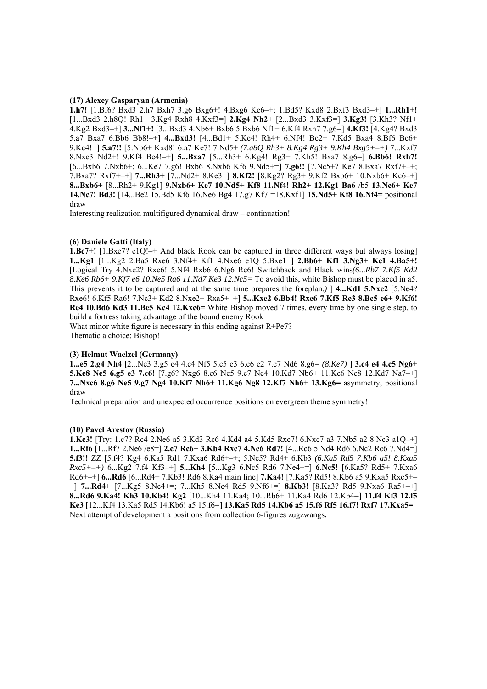#### **(17) Alexey Gasparyan (Armenia)**

**1.h7!** [1.Bf6? Bxd3 2.h7 Bxh7 3.g6 Bxg6+! 4.Bxg6 Ke6–+; 1.Bd5? Kxd8 2.Bxf3 Bxd3–+] **1...Rh1+!**  [1...Bxd3 2.h8Q! Rh1+ 3.Kg4 Rxh8 4.Kxf3=] **2.Kg4 Nh2+** [2...Bxd3 3.Kxf3=] **3.Kg3!** [3.Kh3? Nf1+ 4.Kg2 Bxd3–+] **3...Nf1+!** [3...Bxd3 4.Nb6+ Bxb6 5.Bxb6 Nf1+ 6.Kf4 Rxh7 7.g6=] **4.Kf3!** [4.Kg4? Bxd3 5.a7 Bxa7 6.Bb6 Bb8!–+] **4...Bxd3!** [4...Bd1+ 5.Ke4! Rh4+ 6.Nf4! Bc2+ 7.Kd5 Bxa4 8.Bf6 Bc6+ 9.Kc4!=] **5.a7!!** [5.Nb6+ Kxd8! 6.a7 Ke7! 7.Nd5+ *(7.a8Q Rh3+ 8.Kg4 Rg3+ 9.Kh4 Bxg5+–+)* 7...Kxf7 8.Nxe3 Nd2+! 9.Kf4 Be4!–+] **5...Bxa7** [5...Rh3+ 6.Kg4! Rg3+ 7.Kh5! Bxa7 8.g6=] **6.Bb6! Rxh7!**  [6...Bxb6 7.Nxb6+; 6...Ke7 7.g6! Bxb6 8.Nxb6 Kf6 9.Nd5+=] **7.g6!!** [7.Nc5+? Ke7 8.Bxa7 Rxf7+–+; 7.Bxa7? Rxf7+–+] **7...Rh3+** [7...Nd2+ 8.Ke3=] **8.Kf2!** [8.Kg2? Rg3+ 9.Kf2 Bxb6+ 10.Nxb6+ Kc6–+] **8...Bxb6+** [8...Rh2+ 9.Kg1] **9.Nxb6+ Ke7 10.Nd5+ Kf8 11.Nf4! Rh2+ 12.Kg1 Ba6** /b5 **13.Ne6+ Ke7 14.Nc7! Bd3!** [14...Be2 15.Bd5 Kf6 16.Ne6 Bg4 17.g7 Kf7 =18.Kxf1] **15.Nd5+ Kf8 16.Nf4=** positional draw

Interesting realization multifigured dynamical draw – continuation!

### **(6) Daniele Gatti (Italy)**

**1.Bc7+!** [1.Bxe7? e1Q!-+ And black Rook can be captured in three different ways but always losing] **1...Kg1** [1...Kg2 2.Ba5 Rxe6 3.Nf4+ Kf1 4.Nxe6 e1Q 5.Bxe1=] **2.Bb6+ Kf1 3.Ng3+ Ke1 4.Ba5+!**  [Logical Try 4.Nxe2? Rxe6! 5.Nf4 Rxb6 6.Ng6 Re6! Switchback and Black wins*(6...Rb7 7.Kf5 Kd2 8.Ke6 Rb6+ 9.Kf7 e6 10.Ne5 Ra6 11.Nd7 Ke3 12.Nc5=* To avoid this, white Bishop must be placed in a5. This prevents it to be captured and at the same time prepares the foreplan.*)* ] **4...Kd1 5.Nxe2** [5.Ne4? Rxe6! 6.Kf5 Ra6! 7.Nc3+ Kd2 8.Nxe2+ Rxa5+–+] **5...Kxe2 6.Bb4! Rxe6 7.Kf5 Re3 8.Bc5 e6+ 9.Kf6! Re4 10.Bd6 Kd3 11.Be5 Kc4 12.Kxe6=** White Bishop moved 7 times, every time by one single step, to build a fortress taking advantage of the bound enemy Rook

What minor white figure is necessary in this ending against R+Pe7? Thematic a choice: Bishop!

#### **(3) Helmut Waelzel (Germany)**

**1...e5 2.g4 Nh4** [2...Ne3 3.g5 e4 4.c4 Nf5 5.c5 e3 6.c6 e2 7.c7 Nd6 8.g6= *(8.Ke7)* ] **3.c4 e4 4.c5 Ng6+ 5.Ke8 Ne5 6.g5 e3 7.c6!** [7.g6? Nxg6 8.c6 Ne5 9.c7 Nc4 10.Kd7 Nb6+ 11.Kc6 Nc8 12.Kd7 Na7–+] **7...Nxc6 8.g6 Ne5 9.g7 Ng4 10.Kf7 Nh6+ 11.Kg6 Ng8 12.Kf7 Nh6+ 13.Kg6=** asymmetry, positional draw

Technical preparation and unexpected occurrence positions on evergreen theme symmetry!

#### **(10) Pavel Arestov (Russia)**

**1.Kc3!** [Try: 1.c7? Rc4 2.Ne6 a5 3.Kd3 Rc6 4.Kd4 a4 5.Kd5 Rxc7! 6.Nxc7 a3 7.Nb5 a2 8.Nc3 a1Q–+] **1...Rf6** [1...Rf7 2.Ne6 /e8=] **2.c7 Rc6+ 3.Kb4 Rxc7 4.Ne6 Rd7!** [4...Rc6 5.Nd4 Rd6 6.Nc2 Rc6 7.Nd4=] **5.f3!!** ZZ [5.f4? Kg4 6.Ka5 Rd1 7.Kxa6 Rd6+–+; 5.Nc5? Rd4+ 6.Kb3 *(6.Ka5 Rd5 7.Kb6 a5! 8.Kxa5 Rxc5+–+)* 6...Kg2 7.f4 Kf3–+] **5...Kh4** [5...Kg3 6.Nc5 Rd6 7.Ne4+=] **6.Nc5!** [6.Ka5? Rd5+ 7.Kxa6 Rd6+–+] **6...Rd6** [6...Rd4+ 7.Kb3! Rd6 8.Ka4 main line] **7.Ka4!** [7.Ka5? Rd5! 8.Kb6 a5 9.Kxa5 Rxc5+– +] **7...Rd4+** [7...Kg5 8.Ne4+=; 7...Kh5 8.Ne4 Rd5 9.Nf6+=] **8.Kb3!** [8.Ka3? Rd5 9.Nxa6 Ra5+–+] **8...Rd6 9.Ka4! Kh3 10.Kb4! Kg2** [10...Kh4 11.Ka4; 10...Rb6+ 11.Ka4 Rd6 12.Kb4=] **11.f4 Kf3 12.f5 Ke3** [12...Kf4 13.Ka5 Rd5 14.Kb6! a5 15.f6=] **13.Ka5 Rd5 14.Kb6 a5 15.f6 Rf5 16.f7! Rxf7 17.Kxa5=**  Next attempt of development a positions from collection 6-figures zugzwangs**.**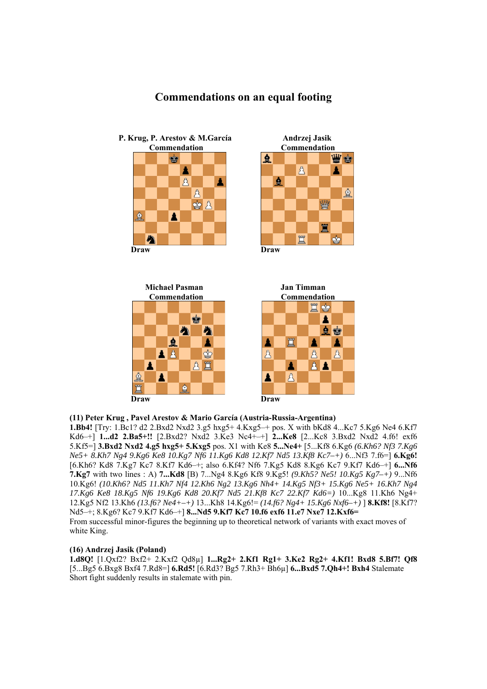# **Commendations on an equal footing**



會 ₩

 **Commendation Commendation** 

 $\beta$ 

WS

₫

 $\dot{9}$ 



# **(11) Peter Krug , Pavel Arestov & Mario García (Austria-Russia-Argentina)**

**1.Bb4!** [Try: 1.Bc1? d2 2.Bxd2 Nxd2 3.g5 hxg5+ 4.Kxg5–+ pos. X with bKd8 4...Kc7 5.Kg6 Ne4 6.Kf7 Kd6–+] **1...d2 2.Ba5+!!** [2.Bxd2? Nxd2 3.Ke3 Nc4+–+] **2...Ke8** [2...Kc8 3.Bxd2 Nxd2 4.f6! exf6 5.Kf5=] **3.Bxd2 Nxd2 4.g5 hxg5+ 5.Kxg5** pos. X1 with Ke8 **5...Ne4+** [5...Kf8 6.Kg6 *(6.Kh6? Nf3 7.Kg6 Ne5+ 8.Kh7 Ng4 9.Kg6 Ke8 10.Kg7 Nf6 11.Kg6 Kd8 12.Kf7 Nd5 13.Kf8 Kc7–+)* 6...Nf3 7.f6=] **6.Kg6!**  [6.Kh6? Kd8 7.Kg7 Kc7 8.Kf7 Kd6–+; also 6.Kf4? Nf6 7.Kg5 Kd8 8.Kg6 Kc7 9.Kf7 Kd6–+] **6...Nf6 7.Kg7** with two lines : A) **7...Kd8** [B) 7...Ng4 8.Kg6 Kf8 9.Kg5! *(9.Kh5? Ne5! 10.Kg5 Kg7–+)* 9...Nf6 10.Kg6! *(10.Kh6? Nd5 11.Kh7 Nf4 12.Kh6 Ng2 13.Kg6 Nh4+ 14.Kg5 Nf3+ 15.Kg6 Ne5+ 16.Kh7 Ng4 17.Kg6 Ke8 18.Kg5 Nf6 19.Kg6 Kd8 20.Kf7 Nd5 21.Kf8 Kc7 22.Kf7 Kd6=)* 10...Kg8 11.Kh6 Ng4+ 12.Kg5 Nf2 13.Kh6 *(13.f6? Ne4+–+)* 13...Kh8 14.Kg6!= *(14.f6? Ng4+ 15.Kg6 Nxf6–+)* ] **8.Kf8!** [8.Kf7? Nd5–+; 8.Kg6? Kc7 9.Kf7 Kd6–+] **8...Nd5 9.Kf7 Kc7 10.f6 exf6 11.e7 Nxe7 12.Kxf6=**  From successful minor-figures the beginning up to theoretical network of variants with exact moves of white King.

# **(16) Andrzej Jasik (Poland)**

**1.d8Q!** [1.Qxf2? Bxf2+ 2.Kxf2 Qd8µ] **1...Rg2+ 2.Kf1 Rg1+ 3.Ke2 Rg2+ 4.Kf1! Bxd8 5.Bf7! Qf8**  [5...Bg5 6.Bxg8 Bxf4 7.Rd8=] **6.Rd5!** [6.Rd3? Bg5 7.Rh3+ Bh6µ] **6...Bxd5 7.Qh4+! Bxh4** Stalemate Short fight suddenly results in stalemate with pin.